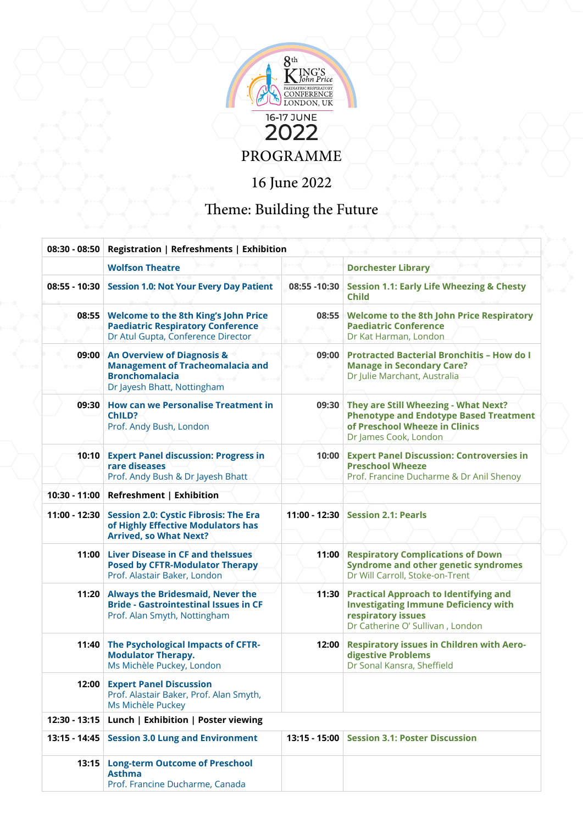

## Theme: Building the Future

|                 | 08:30 - 08:50   Registration   Refreshments   Exhibition                                                                                 |               |                                                                                                                                                        |  |  |  |
|-----------------|------------------------------------------------------------------------------------------------------------------------------------------|---------------|--------------------------------------------------------------------------------------------------------------------------------------------------------|--|--|--|
|                 | <b>Wolfson Theatre</b>                                                                                                                   |               | <b>Dorchester Library</b>                                                                                                                              |  |  |  |
| 08:55 - 10:30   | <b>Session 1.0: Not Your Every Day Patient</b>                                                                                           | 08:55 - 10:30 | <b>Session 1.1: Early Life Wheezing &amp; Chesty</b><br><b>Child</b>                                                                                   |  |  |  |
|                 | 08:55 Welcome to the 8th King's John Price<br><b>Paediatric Respiratory Conference</b><br>Dr Atul Gupta, Conference Director             |               | 08:55 Welcome to the 8th John Price Respiratory<br><b>Paediatric Conference</b><br>Dr Kat Harman, London                                               |  |  |  |
| 09:00           | <b>An Overview of Diagnosis &amp;</b><br><b>Management of Tracheomalacia and</b><br><b>Bronchomalacia</b><br>Dr Jayesh Bhatt, Nottingham |               | 09:00 Protracted Bacterial Bronchitis - How do I<br><b>Manage in Secondary Care?</b><br>Dr Julie Marchant, Australia                                   |  |  |  |
| 09:30           | <b>How can we Personalise Treatment in</b><br>ChILD?<br>Prof. Andy Bush, London                                                          |               | 09:30 They are Still Wheezing - What Next?<br><b>Phenotype and Endotype Based Treatment</b><br>of Preschool Wheeze in Clinics<br>Dr James Cook, London |  |  |  |
|                 | 10:10 Expert Panel discussion: Progress in<br>rare diseases<br>Prof. Andy Bush & Dr Jayesh Bhatt                                         |               | 10:00 Expert Panel Discussion: Controversies in<br><b>Preschool Wheeze</b><br>Prof. Francine Ducharme & Dr Anil Shenoy                                 |  |  |  |
| 10:30 - 11:00   | <b>Refreshment   Exhibition</b>                                                                                                          |               |                                                                                                                                                        |  |  |  |
| 11:00 - 12:30   | <b>Session 2.0: Cystic Fibrosis: The Era</b><br>of Highly Effective Modulators has<br><b>Arrived, so What Next?</b>                      |               | 11:00 - 12:30 Session 2.1: Pearls                                                                                                                      |  |  |  |
|                 | 11:00 Liver Disease in CF and thelssues<br><b>Posed by CFTR-Modulator Therapy</b><br>Prof. Alastair Baker, London                        |               | 11:00 Respiratory Complications of Down<br><b>Syndrome and other genetic syndromes</b><br>Dr Will Carroll, Stoke-on-Trent                              |  |  |  |
| 11:20           | <b>Always the Bridesmaid, Never the</b><br><b>Bride - Gastrointestinal Issues in CF</b><br>Prof. Alan Smyth, Nottingham                  | 11:30         | <b>Practical Approach to Identifying and</b><br><b>Investigating Immune Deficiency with</b><br>respiratory issues<br>Dr Catherine O' Sullivan, London  |  |  |  |
| 11:40           | The Psychological Impacts of CFTR-<br><b>Modulator Therapy.</b><br>Ms Michèle Puckey, London                                             | 12:00         | <b>Respiratory issues in Children with Aero-</b><br>digestive Problems<br>Dr Sonal Kansra, Sheffield                                                   |  |  |  |
|                 | 12:00 Expert Panel Discussion<br>Prof. Alastair Baker, Prof. Alan Smyth,<br>Ms Michèle Puckey                                            |               |                                                                                                                                                        |  |  |  |
| $12:30 - 13:15$ | Lunch   Exhibition   Poster viewing                                                                                                      |               |                                                                                                                                                        |  |  |  |
| 13:15 - 14:45   | <b>Session 3.0 Lung and Environment</b>                                                                                                  |               | 13:15 - 15:00 Session 3.1: Poster Discussion                                                                                                           |  |  |  |
| 13:15           | <b>Long-term Outcome of Preschool</b><br><b>Asthma</b><br>Prof. Francine Ducharme, Canada                                                |               |                                                                                                                                                        |  |  |  |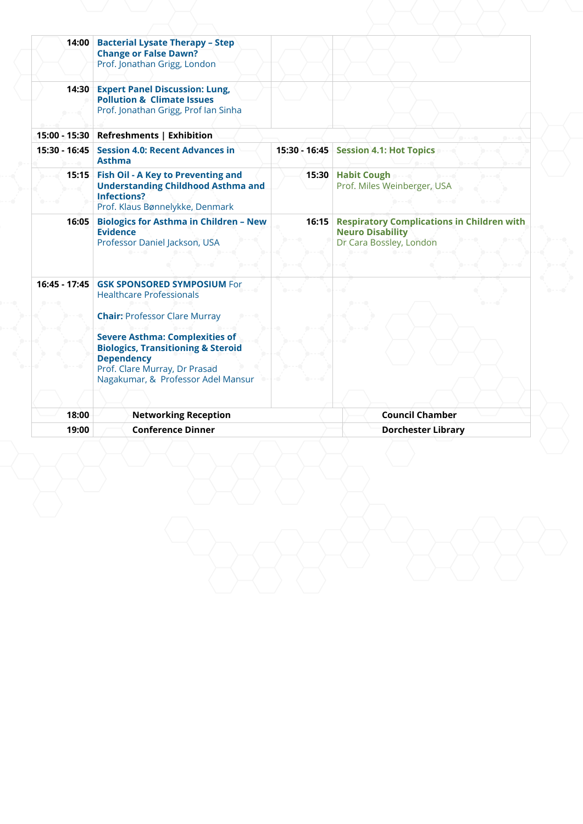|                | 15:00 - 15:30 Refreshments   Exhibition                                                                                                                                                                                                                                                                    |                                                               |                                                                                                        |  |
|----------------|------------------------------------------------------------------------------------------------------------------------------------------------------------------------------------------------------------------------------------------------------------------------------------------------------------|---------------------------------------------------------------|--------------------------------------------------------------------------------------------------------|--|
|                | 15:30 - 16:45 Session 4.0: Recent Advances in<br><b>Asthma</b>                                                                                                                                                                                                                                             |                                                               | 15:30 - 16:45 Session 4.1: Hot Topics                                                                  |  |
|                | 15:15 Fish Oil - A Key to Preventing and<br><b>Understanding Childhood Asthma and</b><br><b>Infections?</b><br>Prof. Klaus Bønnelykke, Denmark                                                                                                                                                             | 15:30 Habit Cough<br>Prof. Miles Weinberger, USA<br>$- - - 0$ |                                                                                                        |  |
| 16:05          | <b>Biologics for Asthma in Children - New</b><br><b>Evidence</b><br>Professor Daniel Jackson, USA                                                                                                                                                                                                          |                                                               | 16:15 Respiratory Complications in Children with<br><b>Neuro Disability</b><br>Dr Cara Bossley, London |  |
|                | 16:45 - 17:45 GSK SPONSORED SYMPOSIUM For<br><b>Healthcare Professionals</b><br><b>Chair: Professor Clare Murray</b><br><b>Severe Asthma: Complexities of</b><br><b>Biologics, Transitioning &amp; Steroid</b><br><b>Dependency</b><br>Prof. Clare Murray, Dr Prasad<br>Nagakumar, & Professor Adel Mansur |                                                               |                                                                                                        |  |
|                |                                                                                                                                                                                                                                                                                                            |                                                               |                                                                                                        |  |
| 18:00<br>19:00 | <b>Networking Reception</b><br><b>Conference Dinner</b>                                                                                                                                                                                                                                                    |                                                               | <b>Council Chamber</b><br><b>Dorchester Library</b>                                                    |  |
|                |                                                                                                                                                                                                                                                                                                            |                                                               |                                                                                                        |  |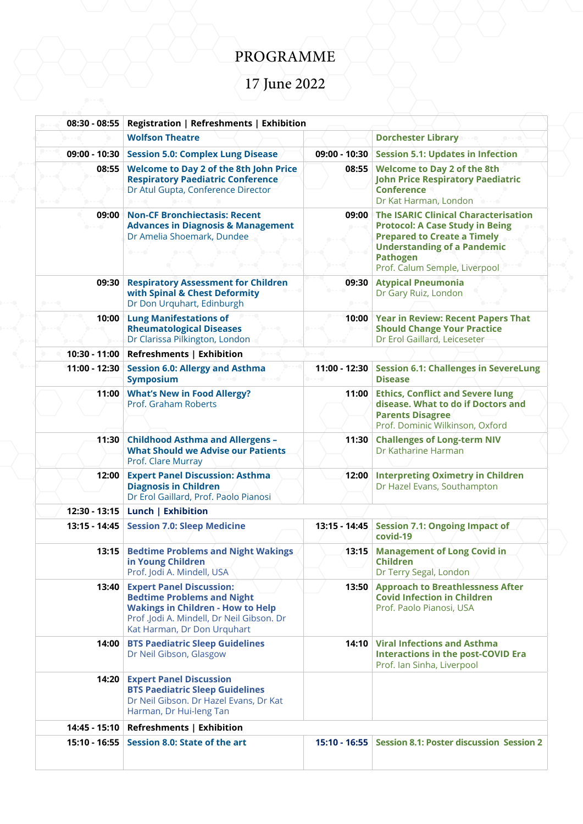## PROGRAMME

## 17 June 2022

| $08:30 - 08:55$                            | Registration   Refreshments   Exhibition                                                                                                                                                     |                 |                                                                                                                                                                                                                |
|--------------------------------------------|----------------------------------------------------------------------------------------------------------------------------------------------------------------------------------------------|-----------------|----------------------------------------------------------------------------------------------------------------------------------------------------------------------------------------------------------------|
|                                            | <b>Wolfson Theatre</b>                                                                                                                                                                       |                 | <b>Dorchester Library</b>                                                                                                                                                                                      |
| 09:00 - 10:30                              | <b>Session 5.0: Complex Lung Disease</b>                                                                                                                                                     | 09:00 - 10:30   | <b>Session 5.1: Updates in Infection</b>                                                                                                                                                                       |
| 08:55                                      | <b>Welcome to Day 2 of the 8th John Price</b><br><b>Respiratory Paediatric Conference</b><br>Dr Atul Gupta, Conference Director                                                              | 08:55           | <b>Welcome to Day 2 of the 8th</b><br><b>John Price Respiratory Paediatric</b><br><b>Conference</b><br>Dr Kat Harman, London                                                                                   |
| 09:00<br>$\rightarrow$ - - - $\rightarrow$ | <b>Non-CF Bronchiectasis: Recent</b><br><b>Advances in Diagnosis &amp; Management</b><br>Dr Amelia Shoemark, Dundee<br>----                                                                  | 09:00           | The ISARIC Clinical Characterisation<br><b>Protocol: A Case Study in Being</b><br><b>Prepared to Create a Timely</b><br><b>Understanding of a Pandemic</b><br><b>Pathogen</b><br>Prof. Calum Semple, Liverpool |
| 09:30                                      | <b>Respiratory Assessment for Children</b><br>with Spinal & Chest Deformity<br>Dr Don Urquhart, Edinburgh                                                                                    | 09:30           | <b>Atypical Pneumonia</b><br>Dr Gary Ruiz, London                                                                                                                                                              |
| 10:00                                      | <b>Lung Manifestations of</b><br><b>Rheumatological Diseases</b><br>Dr Clarissa Pilkington, London                                                                                           |                 | 10:00 Year in Review: Recent Papers That<br><b>Should Change Your Practice</b><br>Dr Erol Gaillard, Leiceseter                                                                                                 |
|                                            | 10:30 - 11:00 Refreshments   Exhibition                                                                                                                                                      |                 |                                                                                                                                                                                                                |
| 11:00 - 12:30                              | <b>Session 6.0: Allergy and Asthma</b><br><b>Symposium</b>                                                                                                                                   | 11:00 - 12:30   | <b>Session 6.1: Challenges in SevereLung</b><br><b>Disease</b>                                                                                                                                                 |
| 11:00                                      | <b>What's New in Food Allergy?</b><br>Prof. Graham Roberts                                                                                                                                   | 11:00           | <b>Ethics, Conflict and Severe lung</b><br>disease. What to do if Doctors and<br><b>Parents Disagree</b><br>Prof. Dominic Wilkinson, Oxford                                                                    |
| 11:30                                      | <b>Childhood Asthma and Allergens-</b><br><b>What Should we Advise our Patients</b><br>Prof. Clare Murray                                                                                    | 11:30           | <b>Challenges of Long-term NIV</b><br>Dr Katharine Harman                                                                                                                                                      |
| 12:00                                      | <b>Expert Panel Discussion: Asthma</b><br><b>Diagnosis in Children</b><br>Dr Erol Gaillard, Prof. Paolo Pianosi                                                                              | 12:00           | <b>Interpreting Oximetry in Children</b><br>Dr Hazel Evans, Southampton                                                                                                                                        |
| 12:30 - 13:15                              | Lunch   Exhibition                                                                                                                                                                           |                 |                                                                                                                                                                                                                |
| 13:15 - 14:45                              | <b>Session 7.0: Sleep Medicine</b>                                                                                                                                                           | $13:15 - 14:45$ | <b>Session 7.1: Ongoing Impact of</b><br>covid-19                                                                                                                                                              |
| 13:15                                      | <b>Bedtime Problems and Night Wakings</b><br>in Young Children<br>Prof. Jodi A. Mindell, USA                                                                                                 | 13:15           | <b>Management of Long Covid in</b><br><b>Children</b><br>Dr Terry Segal, London                                                                                                                                |
| 13:40                                      | <b>Expert Panel Discussion:</b><br><b>Bedtime Problems and Night</b><br><b>Wakings in Children - How to Help</b><br>Prof .Jodi A. Mindell, Dr Neil Gibson. Dr<br>Kat Harman, Dr Don Urquhart | 13:50           | <b>Approach to Breathlessness After</b><br><b>Covid Infection in Children</b><br>Prof. Paolo Pianosi, USA                                                                                                      |
| 14:00                                      | <b>BTS Paediatric Sleep Guidelines</b><br>Dr Neil Gibson, Glasgow                                                                                                                            |                 | 14:10 Viral Infections and Asthma<br><b>Interactions in the post-COVID Era</b><br>Prof. Ian Sinha, Liverpool                                                                                                   |
| 14:20                                      | <b>Expert Panel Discussion</b><br><b>BTS Paediatric Sleep Guidelines</b><br>Dr Neil Gibson. Dr Hazel Evans, Dr Kat<br>Harman, Dr Hui-leng Tan                                                |                 |                                                                                                                                                                                                                |
| 14:45 - 15:10                              | Refreshments   Exhibition                                                                                                                                                                    |                 |                                                                                                                                                                                                                |
| 15:10 - 16:55                              | Session 8.0: State of the art                                                                                                                                                                | $15:10 - 16:55$ | <b>Session 8.1: Poster discussion Session 2</b>                                                                                                                                                                |